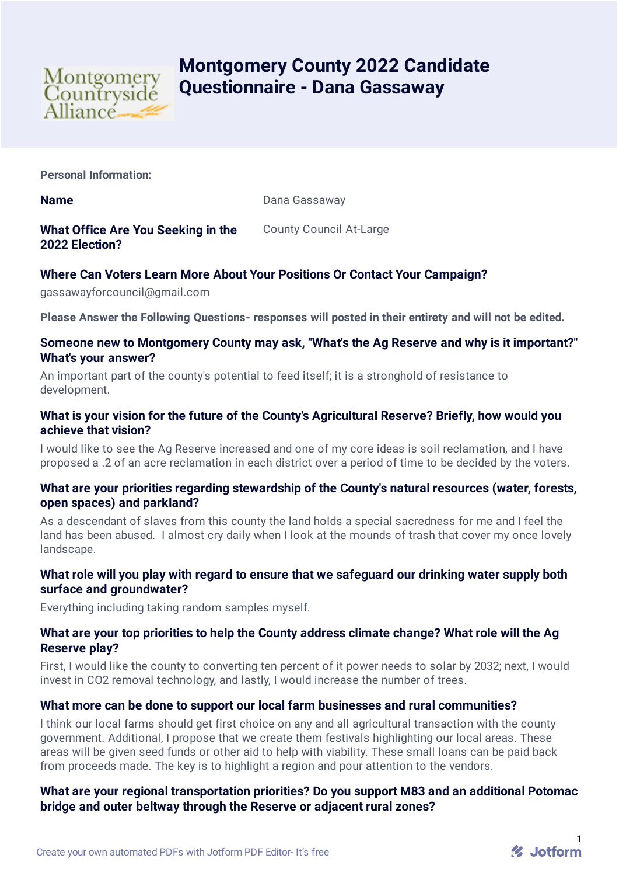

# **Montgomery County 2022 Candidate Questionnaire - Dana Gassaway**

**Personal Information:**

**Name** Dana Gassaway

# **What Office Are You Seeking in the 2022 Election?**

#### County Council At-Large

# **Where Can Voters Learn More About Your Positions Or Contact Your Campaign?**

gassawayforcouncil@gmail.com

**Please Answer the Following Questions- responses will posted in their entirety and will not be edited.**

#### **Someone new to Montgomery County may ask, "What's the Ag Reserve and why is it important?" What's your answer?**

An important part of the county's potential to feed itself; it is a stronghold of resistance to development.

## **What is your vision for the future of the County's Agricultural Reserve? Briefly, how would you achieve that vision?**

I would like to see the Ag Reserve increased and one of my core ideas is soil reclamation, and I have proposed a .2 of an acre reclamation in each district over a period of time to be decided by the voters.

## **What are your priorities regarding stewardship of the County's natural resources (water, forests, open spaces) and parkland?**

As a descendant of slaves from this county the land holds a special sacredness for me and I feel the land has been abused. I almost cry daily when I look at the mounds of trash that cover my once lovely landscape.

## **What role will you play with regard to ensure that we safeguard our drinking water supply both surface and groundwater?**

Everything including taking random samples myself.

## **What are your top priorities to help the County address climate change? What role will the Ag Reserve play?**

First, I would like the county to converting ten percent of it power needs to solar by 2032; next, I would invest in CO2 removal technology, and lastly, I would increase the number of trees.

## **What more can be done to support our local farm businesses and rural communities?**

I think our local farms should get first choice on any and all agricultural transaction with the county government. Additional, I propose that we create them festivals highlighting our local areas. These areas will be given seed funds or other aid to help with viability. These small loans can be paid back from proceeds made. The key is to highlight a region and pour attention to the vendors.

# **What are your regional transportation priorities? Do you support M83 and an additional Potomac bridge and outer beltway through the Reserve or adjacent rural zones?**